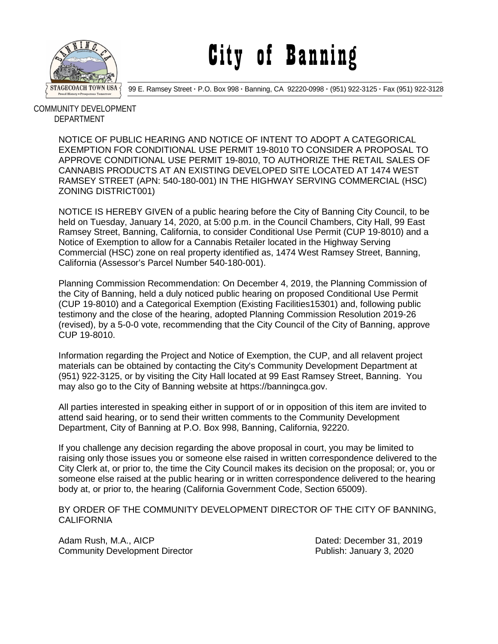

## City of Banning

99 E. Ramsey Street **·** P.O. Box 998 **·** Banning, CA 92220-0998 **·** (951) 922-3125 **·** Fax (951) 922-3128

 COMMUNITY DEVELOPMENT DEPARTMENT

> NOTICE OF PUBLIC HEARING AND NOTICE OF INTENT TO ADOPT A CATEGORICAL EXEMPTION FOR CONDITIONAL USE PERMIT 19-8010 TO CONSIDER A PROPOSAL TO APPROVE CONDITIONAL USE PERMIT 19-8010, TO AUTHORIZE THE RETAIL SALES OF CANNABIS PRODUCTS AT AN EXISTING DEVELOPED SITE LOCATED AT 1474 WEST RAMSEY STREET (APN: 540-180-001) IN THE HIGHWAY SERVING COMMERCIAL (HSC) ZONING DISTRICT001)

> NOTICE IS HEREBY GIVEN of a public hearing before the City of Banning City Council, to be held on Tuesday, January 14, 2020, at 5:00 p.m. in the Council Chambers, City Hall, 99 East Ramsey Street, Banning, California, to consider Conditional Use Permit (CUP 19-8010) and a Notice of Exemption to allow for a Cannabis Retailer located in the Highway Serving Commercial (HSC) zone on real property identified as, 1474 West Ramsey Street, Banning, California (Assessor's Parcel Number 540-180-001).

> Planning Commission Recommendation: On December 4, 2019, the Planning Commission of the City of Banning, held a duly noticed public hearing on proposed Conditional Use Permit (CUP 19-8010) and a Categorical Exemption (Existing Facilities15301) and, following public testimony and the close of the hearing, adopted Planning Commission Resolution 2019-26 (revised), by a 5-0-0 vote, recommending that the City Council of the City of Banning, approve CUP 19-8010.

Information regarding the Project and Notice of Exemption, the CUP, and all relavent project materials can be obtained by contacting the City's Community Development Department at (951) 922-3125, or by visiting the City Hall located at 99 East Ramsey Street, Banning. You may also go to the City of Banning website at https://banningca.gov.

All parties interested in speaking either in support of or in opposition of this item are invited to attend said hearing, or to send their written comments to the Community Development Department, City of Banning at P.O. Box 998, Banning, California, 92220.

If you challenge any decision regarding the above proposal in court, you may be limited to raising only those issues you or someone else raised in written correspondence delivered to the City Clerk at, or prior to, the time the City Council makes its decision on the proposal; or, you or someone else raised at the public hearing or in written correspondence delivered to the hearing body at, or prior to, the hearing (California Government Code, Section 65009).

BY ORDER OF THE COMMUNITY DEVELOPMENT DIRECTOR OF THE CITY OF BANNING, **CALIFORNIA** 

Adam Rush, M.A., AICP<br>Community Development Director **Community Development Director** Community Development Director